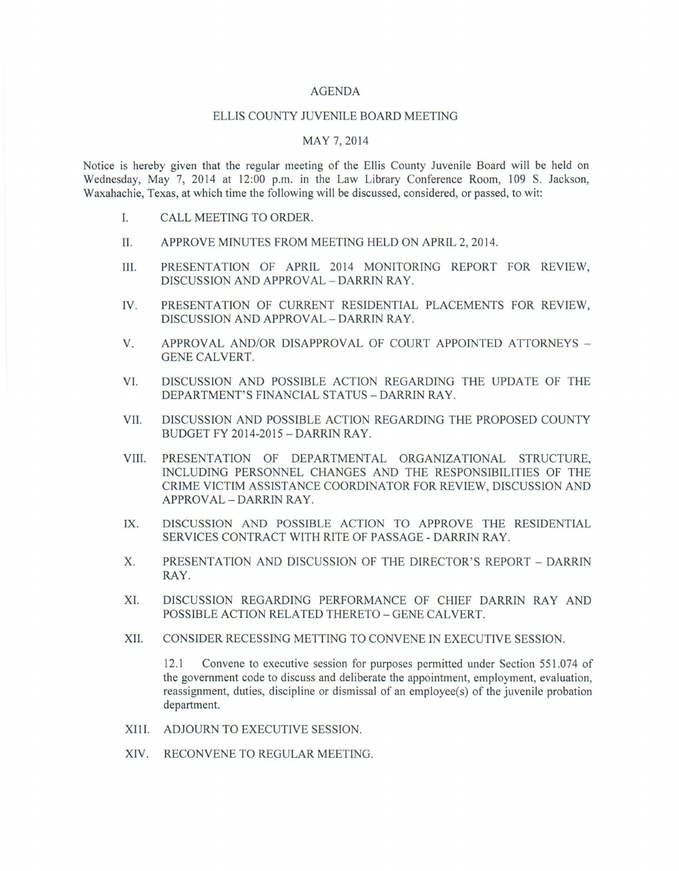## AGENDA

## ELLIS COUNTY JUVENILE BOARD MEETING

## MAY 7, 2014

Notice is hereby given that the regular meeting of the Ellis County Juvenile Board will be held on Wednesday, May 7, 2014 at 12:00 p.m. in the Law Library Conference Room, 109 S. Jackson, Waxahachie, Texas, at which time the following will be discussed, considered, or passed, to wit:

- I. CALL MEETING TO ORDER.
- II. APPROVE MINUTES FROM MEETING HELD ON APRIL 2, 2014.
- III. PRESENTATION OF APRIL 2014 MONITORING REPORT FOR REVIEW, DISCUSSION AND APPROVAL - DARRIN RAY.
- IV. PRESENTATION OF CURRENT RESIDENTIAL PLACEMENTS FOR REVIEW, DISCUSSION AND APPROVAL - DARRIN RAY.
- V. APPROVAL AND/OR DISAPPROVAL OF COURT APPOINTED ATTORNEYS -GENE CALVERT.
- VI. DISCUSSION AND POSSIBLE ACTION REGARDING THE UPDATE OF THE DEPARTMENT'S FINANCIAL STATUS -DARRIN RAY.
- VII. DISCUSSION AND POSSIBLE ACTION REGARDING THE PROPOSED COUNTY BUDGET FY 2014-2015 -DARRIN RAY.
- VIII. PRESENTATION OF DEPARTMENTAL ORGANIZATIONAL STRUCTURE, INCLUDING PERSONNEL CHANGES AND THE RESPONSIBILITIES OF THE CRIME VICTIM ASSISTANCE COORDINATOR FOR REVIEW, DISCUSSION AND APPROVAL - DARRIN RAY.
- IX. DISCUSSION AND POSSIBLE ACTION TO APPROVE THE RESIDENTIAL SERVICES CONTRACT WITH RITE OF PASSAGE - DARRIN RAY.
- X. PRESENTATION AND DISCUSSION OF THE DIRECTOR'S REPORT DARRIN RAY.
- XI. DISCUSSION REGARDING PERFORMANCE OF CHIEF DARRIN RAY AND POSSIBLE ACTION RELATED THERETO - GENE CALVERT.
- XII. CONSIDER RECESSING METTING TO CONVENE IN EXECUTIVE SESSION.

12.1 Convene to executive session for purposes permitted under Section 551.074 of the government code to discuss and deliberate the appointment, employment, evaluation, reassignment, duties, discipline or dismissal of an employee(s) of the juvenile probation department.

- XIII. ADJOURN TO EXECUTIVE SESSION.
- XIV. RECONVENE TO REGULAR MEETING.